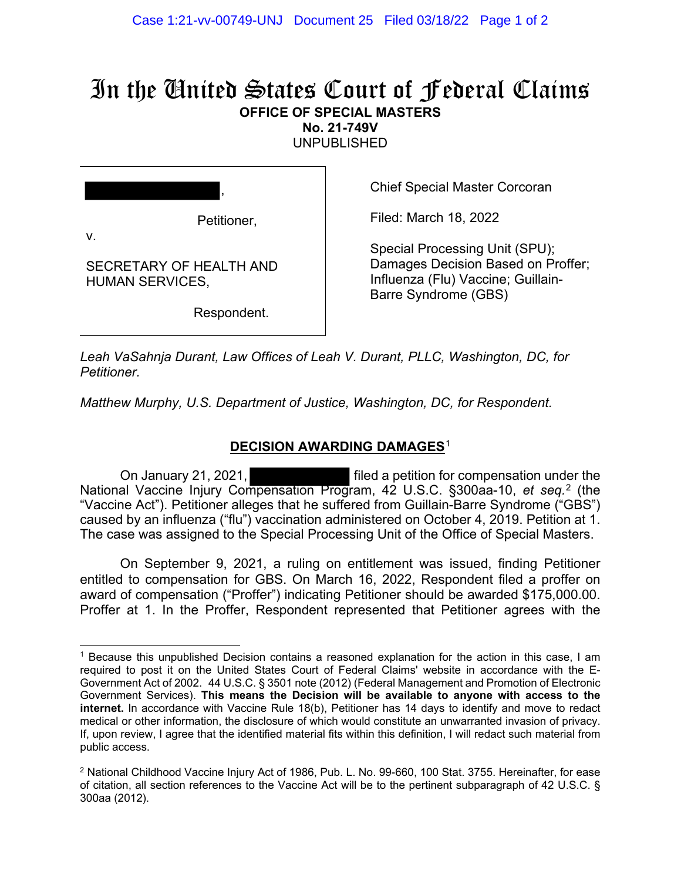# In the United States Court of Federal Claims **OFFICE OF SPECIAL MASTERS**

**No. 21-749V** 

UNPUBLISHED

| v                      | Petitioner,             |
|------------------------|-------------------------|
| <b>HUMAN SERVICES.</b> | SECRETARY OF HEALTH AND |

Respondent.

Chief Special Master Corcoran

Filed: March 18, 2022

Special Processing Unit (SPU); Damages Decision Based on Proffer; Influenza (Flu) Vaccine; Guillain-Barre Syndrome (GBS)

*Leah VaSahnja Durant, Law Offices of Leah V. Durant, PLLC, Washington, DC, for Petitioner.*

*Matthew Murphy, U.S. Department of Justice, Washington, DC, for Respondent.*

# **DECISION AWARDING DAMAGES**[1](#page-3-0)

On January 21, 2021, filed a petition for compensation under the National Vaccine Injury Compensation Program, 42 U.S.C. §300aa-10, *et seq.*[2](#page-3-0) (the "Vaccine Act"). Petitioner alleges that he suffered from Guillain-Barre Syndrome ("GBS") caused by an influenza ("flu") vaccination administered on October 4, 2019. Petition at 1. The case was assigned to the Special Processing Unit of the Office of Special Masters.

On September 9, 2021, a ruling on entitlement was issued, finding Petitioner entitled to compensation for GBS. On March 16, 2022, Respondent filed a proffer on award of compensation ("Proffer") indicating Petitioner should be awarded \$175,000.00. Proffer at 1. In the Proffer, Respondent represented that Petitioner agrees with the

<sup>1</sup> Because this unpublished Decision contains a reasoned explanation for the action in this case, I am required to post it on the United States Court of Federal Claims' website in accordance with the E-Government Act of 2002. 44 U.S.C. § 3501 note (2012) (Federal Management and Promotion of Electronic Government Services). **This means the Decision will be available to anyone with access to the internet.** In accordance with Vaccine Rule 18(b), Petitioner has 14 days to identify and move to redact medical or other information, the disclosure of which would constitute an unwarranted invasion of privacy. If, upon review, I agree that the identified material fits within this definition, I will redact such material from public access.

<sup>2</sup> National Childhood Vaccine Injury Act of 1986, Pub. L. No. 99-660, 100 Stat. 3755. Hereinafter, for ease of citation, all section references to the Vaccine Act will be to the pertinent subparagraph of 42 U.S.C. § 300aa (2012).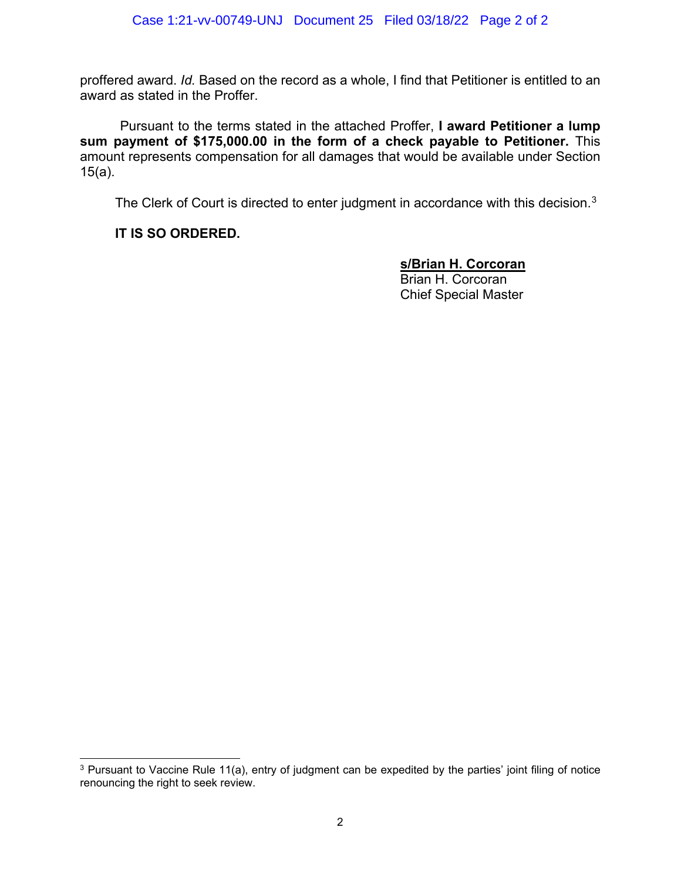proffered award. *Id.* Based on the record as a whole, I find that Petitioner is entitled to an award as stated in the Proffer.

Pursuant to the terms stated in the attached Proffer, **I award Petitioner a lump sum payment of \$175,000.00 in the form of a check payable to Petitioner.** This amount represents compensation for all damages that would be available under Section 15(a).

The Clerk of Court is directed to enter judgment in accordance with this decision.<sup>[3](#page-3-0)</sup>

# **IT IS SO ORDERED.**

# **s/Brian H. Corcoran**

Brian H. Corcoran Chief Special Master

<sup>&</sup>lt;sup>3</sup> Pursuant to Vaccine Rule 11(a), entry of judgment can be expedited by the parties' joint filing of notice renouncing the right to seek review.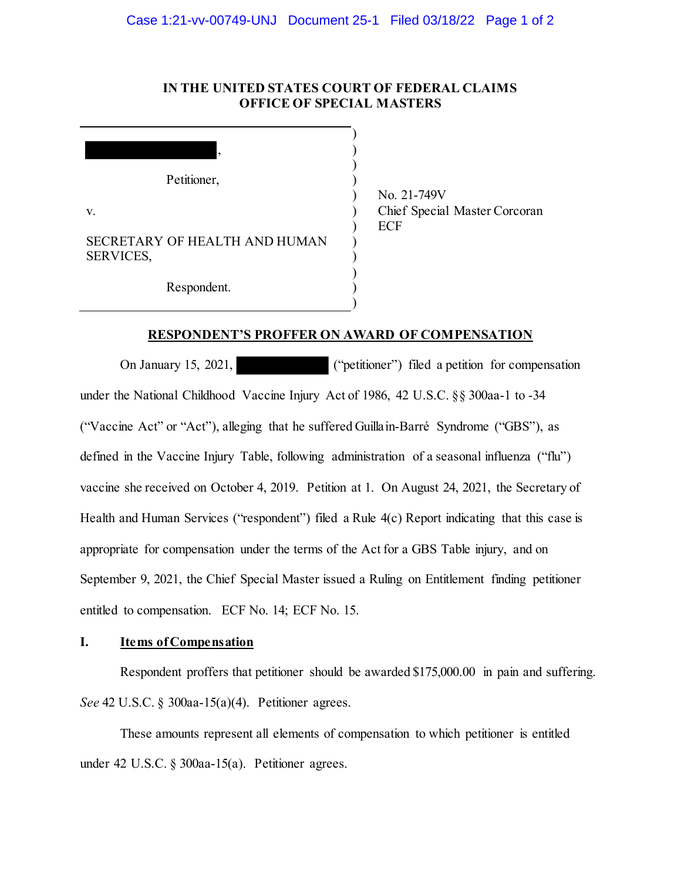#### **IN THE UNITED STATES COURT OF FEDERAL CLAIMS OFFICE OF SPECIAL MASTERS**

|                  | ,                             |
|------------------|-------------------------------|
|                  | Petitioner,                   |
| V.               |                               |
| <b>SERVICES,</b> | SECRETARY OF HEALTH AND HUMAN |
|                  | Respondent.                   |

No. 21-749V Chief Special Master Corcoran ECF

#### **RESPONDENT'S PROFFER ON AWARD OF COMPENSATION**

) ) )

On January 15, 2021, ("petitioner") filed a petition for compensation under the National Childhood Vaccine Injury Act of 1986, 42 U.S.C. §§ 300aa-1 to -34 ("Vaccine Act" or "Act"), alleging that he suffered Guillain-Barré Syndrome ("GBS"), as defined in the Vaccine Injury Table, following administration of a seasonal influenza ("flu") vaccine she received on October 4, 2019. Petition at 1. On August 24, 2021, the Secretary of Health and Human Services ("respondent") filed a Rule 4(c) Report indicating that this case is appropriate for compensation under the terms of the Act for a GBS Table injury, and on September 9, 2021, the Chief Special Master issued a Ruling on Entitlement finding petitioner entitled to compensation. ECF No. 14; ECF No. 15.

#### **I. Items of Compensation**

Respondent proffers that petitioner should be awarded \$175,000.00 in pain and suffering. *See* 42 U.S.C. § 300aa-15(a)(4). Petitioner agrees.

These amounts represent all elements of compensation to which petitioner is entitled under 42 U.S.C. § 300aa-15(a). Petitioner agrees.